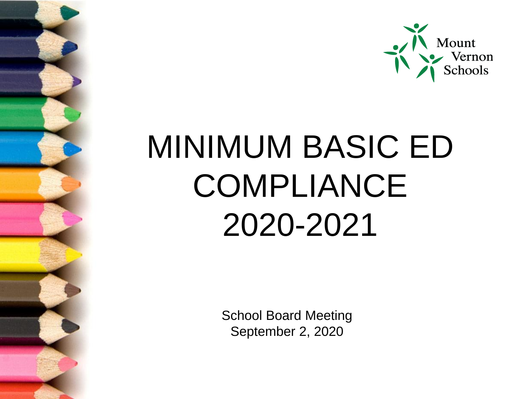

# MINIMUM BASIC ED COMPLIANCE 2020-2021

School Board Meeting September 2, 2020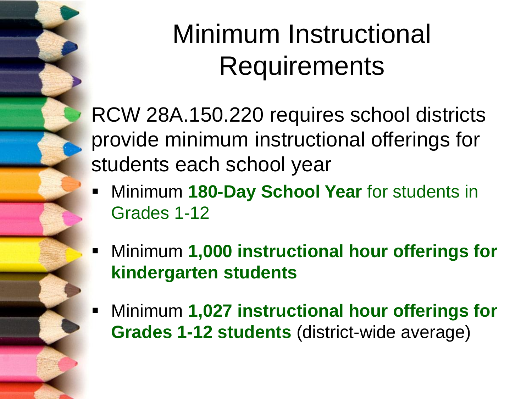### Minimum Instructional Requirements

RCW 28A.150.220 requires school districts provide minimum instructional offerings for students each school year

- **EX41 Minimum 180-Day School Year for students in** Grades 1-12
- **EXP** Minimum **1,000 instructional hour offerings for kindergarten students**
- Minimum **1,027 instructional hour offerings for Grades 1-12 students** (district-wide average)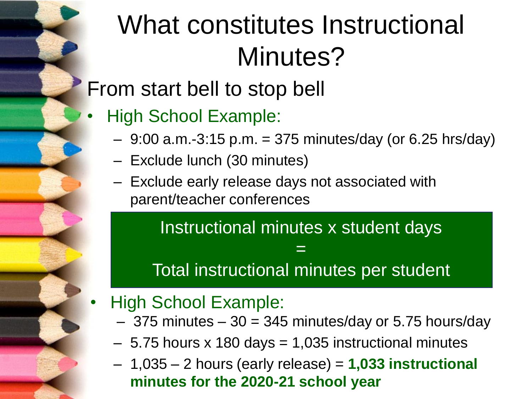## What constitutes Instructional Minutes?

#### From start bell to stop bell

- High School Example:
	- $-9:00$  a.m.-3:15 p.m.  $=375$  minutes/day (or 6.25 hrs/day)
	- Exclude lunch (30 minutes)
	- Exclude early release days not associated with parent/teacher conferences

Instructional minutes x student days

#### Total instructional minutes per student

=

- High School Example:
	- $-$  375 minutes  $-$  30 = 345 minutes/day or 5.75 hours/day
	- $-5.75$  hours x 180 days  $= 1,035$  instructional minutes
	- 1,035 2 hours (early release) = **1,033 instructional minutes for the 2020-21 school year**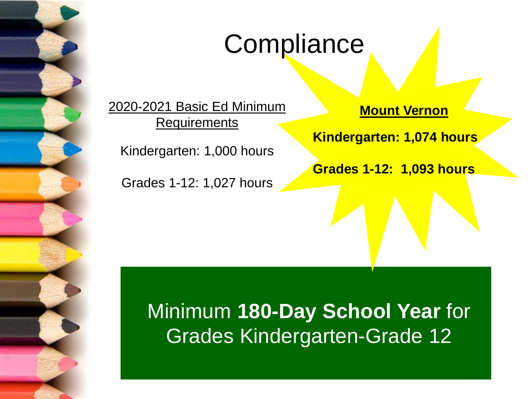

### **Compliance**

2020-2021 Basic Ed Minimum **Requirements** 

Kindergarten: 1,000 hours

Grades 1-12: 1,027 hours

**Mount Vernon**

**Kindergarten: 1,074 hours**

**Grades 1-12: 1,093 hours**

Minimum **180-Day School Year** for Grades Kindergarten-Grade 12